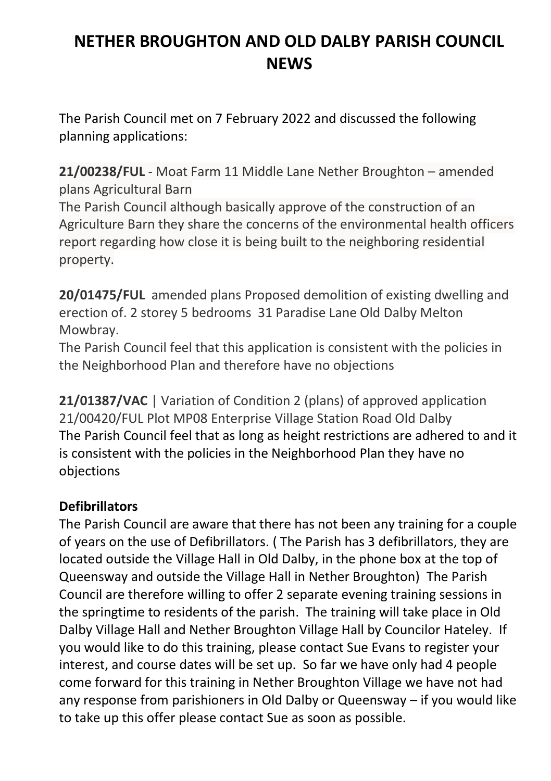# **NETHER BROUGHTON AND OLD DALBY PARISH COUNCIL NEWS**

The Parish Council met on 7 February 2022 and discussed the following planning applications:

**21/00238/FUL** - Moat Farm 11 Middle Lane Nether Broughton – amended plans Agricultural Barn

The Parish Council although basically approve of the construction of an Agriculture Barn they share the concerns of the environmental health officers report regarding how close it is being built to the neighboring residential property.

**20/01475/FUL** amended plans Proposed demolition of existing dwelling and erection of. 2 storey 5 bedrooms 31 Paradise Lane Old Dalby Melton Mowbray.

The Parish Council feel that this application is consistent with the policies in the Neighborhood Plan and therefore have no objections

21/01387/VAC | Variation of Condition 2 (plans) of approved application 21/00420/FUL Plot MP08 Enterprise Village Station Road Old Dalby The Parish Council feel that as long as height restrictions are adhered to and it is consistent with the policies in the Neighborhood Plan they have no objections

## **Defibrillators**

The Parish Council are aware that there has not been any training for a couple of years on the use of Defibrillators. ( The Parish has 3 defibrillators, they are located outside the Village Hall in Old Dalby, in the phone box at the top of Queensway and outside the Village Hall in Nether Broughton) The Parish Council are therefore willing to offer 2 separate evening training sessions in the springtime to residents of the parish. The training will take place in Old Dalby Village Hall and Nether Broughton Village Hall by Councilor Hateley. If you would like to do this training, please contact Sue Evans to register your interest, and course dates will be set up. So far we have only had 4 people come forward for this training in Nether Broughton Village we have not had any response from parishioners in Old Dalby or Queensway – if you would like to take up this offer please contact Sue as soon as possible.